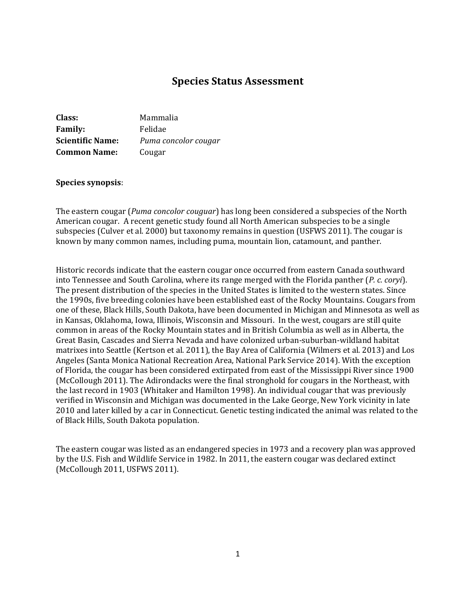# **Species Status Assessment**

| Class:                  | Mammalia             |
|-------------------------|----------------------|
| <b>Family:</b>          | Felidae              |
| <b>Scientific Name:</b> | Puma concolor cougar |
| <b>Common Name:</b>     | Cougar               |

#### **Species synopsis**:

The eastern cougar (*Puma concolor couguar*) has long been considered a subspecies of the North American cougar. A recent genetic study found all North American subspecies to be a single subspecies (Culver et al. 2000) but taxonomy remains in question (USFWS 2011). The cougar is known by many common names, including puma, mountain lion, catamount, and panther.

Historic records indicate that the eastern cougar once occurred from eastern Canada southward into Tennessee and South Carolina, where its range merged with the Florida panther (*P. c. coryi*). The present distribution of the species in the United States is limited to the western states. Since the 1990s, five breeding colonies have been established east of the Rocky Mountains. Cougars from one of these, Black Hills, South Dakota, have been documented in Michigan and Minnesota as well as in Kansas, Oklahoma, Iowa, Illinois, Wisconsin and Missouri. In the west, cougars are still quite common in areas of the Rocky Mountain states and in British Columbia as well as in Alberta, the Great Basin, Cascades and Sierra Nevada and have colonized urban-suburban-wildland habitat matrixes into Seattle (Kertson et al. 2011), the Bay Area of California (Wilmers et al. 2013) and Los Angeles (Santa Monica National Recreation Area, National Park Service 2014). With the exception of Florida, the cougar has been considered extirpated from east of the Mississippi River since 1900 (McCollough 2011). The Adirondacks were the final stronghold for cougars in the Northeast, with the last record in 1903 (Whitaker and Hamilton 1998). An individual cougar that was previously verified in Wisconsin and Michigan was documented in the Lake George, New York vicinity in late 2010 and later killed by a car in Connecticut. Genetic testing indicated the animal was related to the of Black Hills, South Dakota population.

The eastern cougar was listed as an endangered species in 1973 and a recovery plan was approved by the U.S. Fish and Wildlife Service in 1982. In 2011, the eastern cougar was declared extinct (McCollough 2011, USFWS 2011).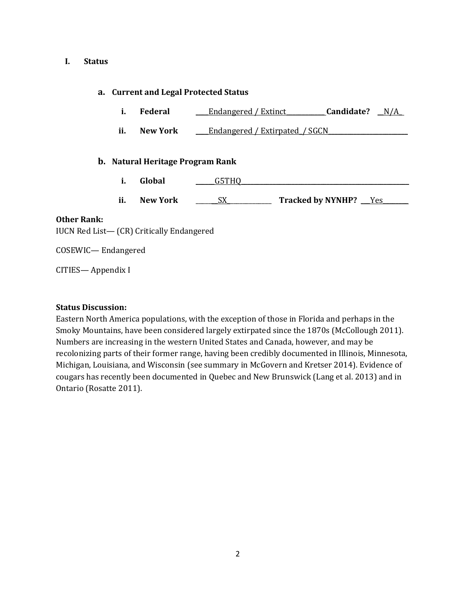#### **I. Status**

### **a. Current and Legal Protected Status**

- **i. Federal** \_\_\_\_Endangered / Extinct\_\_\_\_\_\_\_\_\_\_\_\_ **Candidate?** \_\_N/A\_
- **ii. New York \_\_\_**Endangered / Extirpated / SGCN

### **b. Natural Heritage Program Rank**

- **i. Global a G5THO**
- **ii. New York** \_\_\_\_\_\_\_SX\_\_\_\_\_\_\_\_\_\_\_\_\_\_ **Tracked by NYNHP?** \_\_\_Yes\_\_\_\_\_\_\_\_

### **Other Rank:**

IUCN Red List— (CR) Critically Endangered

COSEWIC— Endangered

CITIES— Appendix I

### **Status Discussion:**

Eastern North America populations, with the exception of those in Florida and perhaps in the Smoky Mountains, have been considered largely extirpated since the 1870s (McCollough 2011). Numbers are increasing in the western United States and Canada, however, and may be recolonizing parts of their former range, having been credibly documented in Illinois, Minnesota, Michigan, Louisiana, and Wisconsin (see summary in McGovern and Kretser 2014). Evidence of cougars has recently been documented in Quebec and New Brunswick (Lang et al. 2013) and in Ontario (Rosatte 2011).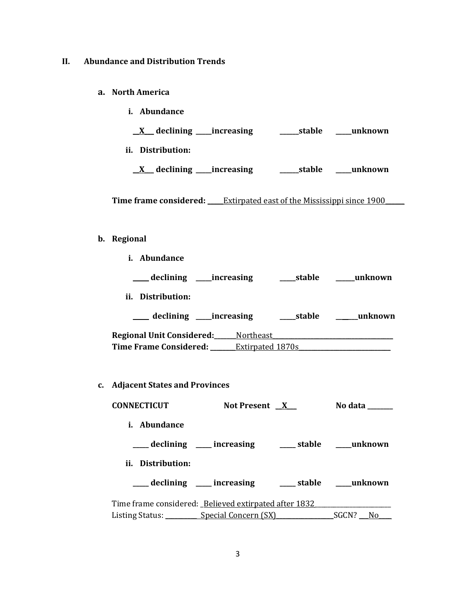## **II. Abundance and Distribution Trends**

- **a. North America**
	- **i. Abundance**

**\_\_X\_\_\_ declining \_\_\_\_\_increasing \_\_\_\_\_\_stable \_\_\_\_\_unknown**

**ii. Distribution:**

**\_\_X**\_\_\_ **declining \_\_\_\_\_increasing \_\_\_\_\_\_stable \_\_\_\_\_unknown**

**Time frame considered: \_\_\_\_\_**Extirpated east of the Mississippi since 1900**\_\_\_\_\_\_**

### **b. Regional**

| Abundance<br>i.                    |                  |        |         |
|------------------------------------|------------------|--------|---------|
| declining _____increasing          |                  | stable | unknown |
| Distribution:<br>ii.               |                  |        |         |
| declining ______increasing         |                  | stable | unknown |
| <b>Regional Unit Considered:__</b> | Northeast        |        |         |
| <b>Time Frame Considered:</b>      | Extirpated 1870s |        |         |

**c. Adjacent States and Provinces**

| <b>CONNECTICUT</b>                                    | Not Present X                                            | No data        |
|-------------------------------------------------------|----------------------------------------------------------|----------------|
| i. Abundance                                          |                                                          |                |
|                                                       | ____ declining ____ increasing _____ stable ____ unknown |                |
| ii. Distribution:                                     |                                                          |                |
|                                                       | ____ declining ____ increasing                           | stable unknown |
| Time frame considered: Believed extirpated after 1832 |                                                          |                |
| Listing Status: Special Concern (SX) SGCN? No         |                                                          |                |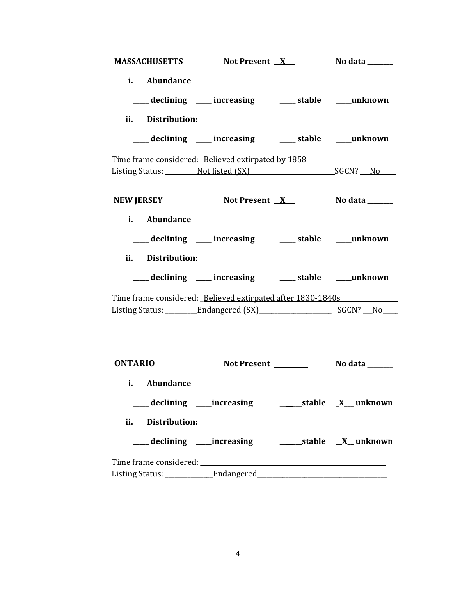| MASSACHUSETTS Not Present X No data _____                   |                                                            |  |
|-------------------------------------------------------------|------------------------------------------------------------|--|
| i. Abundance                                                |                                                            |  |
|                                                             | ___ declining ___ increasing ___ stable ___ unknown        |  |
| ii. Distribution:                                           |                                                            |  |
|                                                             | ___ declining ___ increasing ___ stable ___ unknown        |  |
| Time frame considered: Believed extirpated by 1858          |                                                            |  |
|                                                             |                                                            |  |
| <b>NEW JERSEY</b>                                           | Not Present <u>X</u> No data _____                         |  |
| i. Abundance                                                |                                                            |  |
|                                                             | ___ declining ___ increasing ___ stable ___ unknown        |  |
| ii. Distribution:                                           |                                                            |  |
|                                                             | ___ declining ___ increasing ___ stable ___ unknown        |  |
| Time frame considered: Believed extirpated after 1830-1840s |                                                            |  |
|                                                             |                                                            |  |
| <b>ONTARIO</b>                                              |                                                            |  |
| Abundance<br>i.                                             |                                                            |  |
|                                                             |                                                            |  |
| ii. Distribution:                                           |                                                            |  |
|                                                             | ___ declining ____increasing __________stable __X__unknown |  |
|                                                             |                                                            |  |
|                                                             |                                                            |  |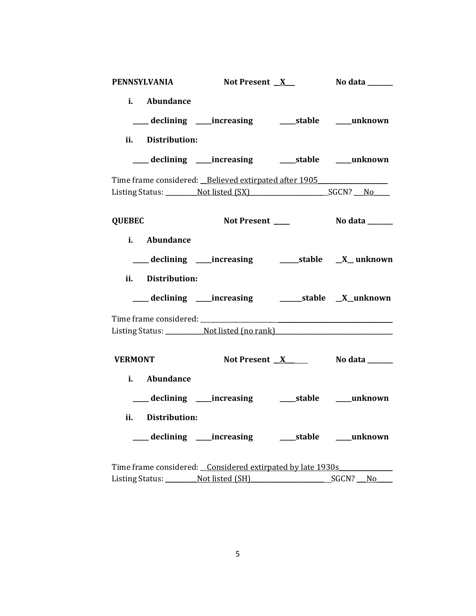| <b>PENNSYLVANIA</b>                                        | Not Present <u>X</u>                                                                              | No data ______       |
|------------------------------------------------------------|---------------------------------------------------------------------------------------------------|----------------------|
| i. Abundance                                               |                                                                                                   |                      |
|                                                            | ___ declining ____ increasing ______ stable ____ unknown                                          |                      |
| ii. Distribution:                                          |                                                                                                   |                      |
|                                                            | ___ declining ____ increasing _______ stable _____ unknown                                        |                      |
|                                                            | Time frame considered: Believed extirpated after 1905<br>Listing Status: Not listed (SX) SGCN? No |                      |
| <b>QUEBEC</b>                                              |                                                                                                   |                      |
| i. Abundance                                               |                                                                                                   |                      |
|                                                            |                                                                                                   |                      |
| ii. Distribution:                                          |                                                                                                   |                      |
|                                                            |                                                                                                   |                      |
|                                                            |                                                                                                   |                      |
|                                                            | Listing Status: Not listed (no rank)                                                              |                      |
| <b>VERMONT</b>                                             | Not Present <u>X</u> No data _____                                                                |                      |
| i. Abundance                                               |                                                                                                   |                      |
|                                                            |                                                                                                   |                      |
| ii. Distribution:                                          |                                                                                                   |                      |
|                                                            | ___ declining ____increasing _______stable _____unknown                                           |                      |
| Time frame considered: Considered extirpated by late 1930s |                                                                                                   |                      |
|                                                            | Listing Status: Not listed (SH)                                                                   | _SGCN? ___ <u>No</u> |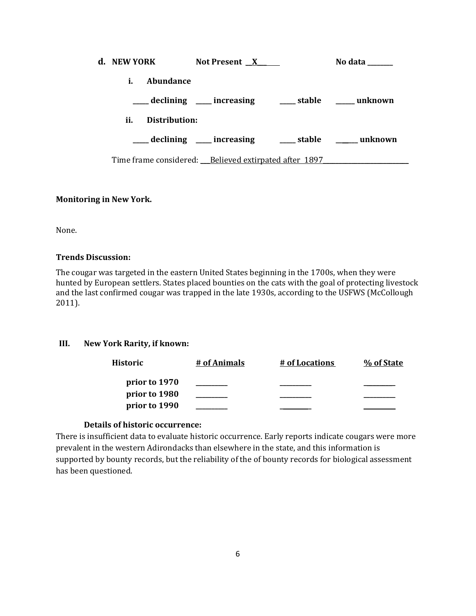| d. NEW YORK |               | Not Present X                                            | No data        |
|-------------|---------------|----------------------------------------------------------|----------------|
| i.          | Abundance     |                                                          |                |
|             |               | declining ___ increasing ____ stable ____ unknown        |                |
| ii.         | Distribution: |                                                          |                |
|             |               | declining ____ increasing                                | stable unknown |
|             |               | Time frame considered: __ Believed extirpated after 1897 |                |

## **Monitoring in New York.**

None.

## **Trends Discussion:**

The cougar was targeted in the eastern United States beginning in the 1700s, when they were hunted by European settlers. States placed bounties on the cats with the goal of protecting livestock and the last confirmed cougar was trapped in the late 1930s, according to the USFWS (McCollough 2011).

## **III. New York Rarity, if known:**

| Historic      | # of Animals | # of Locations | % of State |
|---------------|--------------|----------------|------------|
| prior to 1970 |              |                |            |
| prior to 1980 |              |                |            |
| prior to 1990 |              |                |            |

## **Details of historic occurrence:**

There is insufficient data to evaluate historic occurrence. Early reports indicate cougars were more prevalent in the western Adirondacks than elsewhere in the state, and this information is supported by bounty records, but the reliability of the of bounty records for biological assessment has been questioned.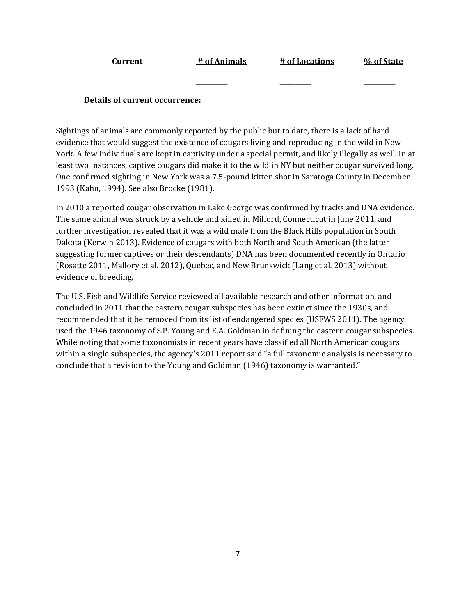| Current                        | # of Animals | # of Locations | % of State |
|--------------------------------|--------------|----------------|------------|
|                                |              |                |            |
| Details of current occurrence: |              |                |            |

Sightings of animals are commonly reported by the public but to date, there is a lack of hard evidence that would suggest the existence of cougars living and reproducing in the wild in New York. A few individuals are kept in captivity under a special permit, and likely illegally as well. In at least two instances, captive cougars did make it to the wild in NY but neither cougar survived long. One confirmed sighting in New York was a 7.5-pound kitten shot in Saratoga County in December 1993 (Kahn, 1994). See also Brocke (1981).

In 2010 a reported cougar observation in Lake George was confirmed by tracks and DNA evidence. The same animal was struck by a vehicle and killed in Milford, Connecticut in June 2011, and further investigation revealed that it was a wild male from the Black Hills population in South Dakota (Kerwin 2013). Evidence of cougars with both North and South American (the latter suggesting former captives or their descendants) DNA has been documented recently in Ontario (Rosatte 2011, Mallory et al. 2012), Quebec, and New Brunswick (Lang et al*.* 2013) without evidence of breeding.

The U.S. Fish and Wildlife Service reviewed all available research and other information, and concluded in 2011 that the eastern cougar subspecies has been extinct since the 1930s, and recommended that it be removed from its list of endangered species (USFWS 2011). The agency used the 1946 taxonomy of S.P. Young and E.A. Goldman in defining the eastern cougar subspecies. While noting that some taxonomists in recent years have classified all North American cougars within a single subspecies, the agency's 2011 report said "a full taxonomic analysis is necessary to conclude that a revision to the Young and Goldman (1946) taxonomy is warranted."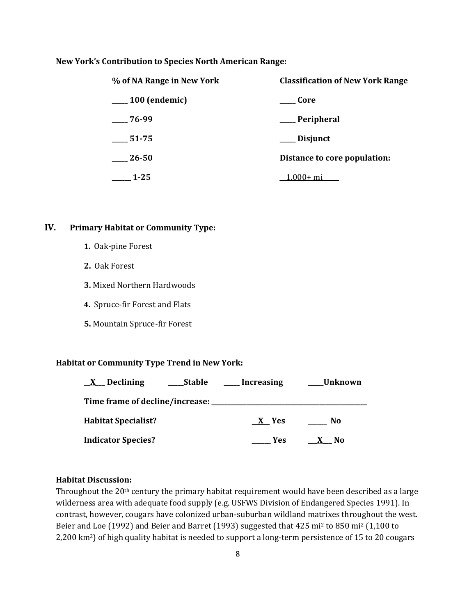### **New York's Contribution to Species North American Range:**

| % of NA Range in New York | <b>Classification of New York Range</b> |  |
|---------------------------|-----------------------------------------|--|
| $\_\_100$ (endemic)       | Core                                    |  |
| $-76-99$                  | ___Peripheral                           |  |
| 51-75                     | ___ Disjunct                            |  |
| 26-50                     | Distance to core population:            |  |
| $1 - 25$                  | 1,000+ mi                               |  |

## **IV. Primary Habitat or Community Type:**

- **1.** Oak-pine Forest
- **2.** Oak Forest
- **3.** Mixed Northern Hardwoods
- **4.** Spruce-fir Forest and Flats
- **5.** Mountain Spruce-fir Forest

#### **Habitat or Community Type Trend in New York:**

| Declining<br>$\mathbf{X}$       | <b>Stable</b> | Increasing | Unknown |
|---------------------------------|---------------|------------|---------|
| Time frame of decline/increase: |               |            |         |
| <b>Habitat Specialist?</b>      |               | X Yes      | No      |
| <b>Indicator Species?</b>       |               | <b>Yes</b> | No.     |

#### **Habitat Discussion:**

Throughout the 20th century the primary habitat requirement would have been described as a large wilderness area with adequate food supply (e.g. USFWS Division of Endangered Species 1991). In contrast, however, cougars have colonized urban-suburban wildland matrixes throughout the west. Beier and Loe (1992) and Beier and Barret (1993) suggested that 425 mi<sup>2</sup> to 850 mi<sup>2</sup> (1,100 to 2,200 km2) of high quality habitat is needed to support a long-term persistence of 15 to 20 cougars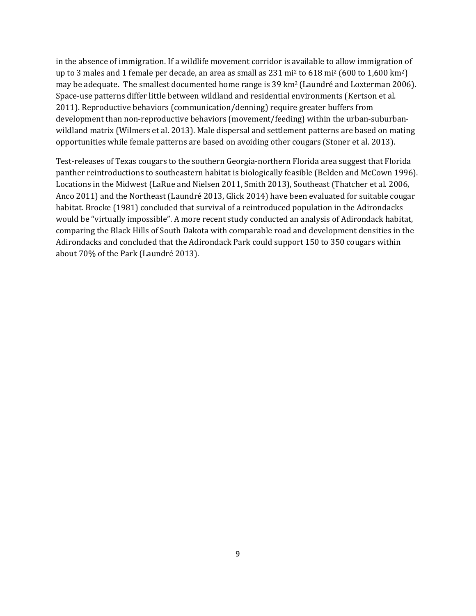in the absence of immigration. If a wildlife movement corridor is available to allow immigration of up to 3 males and 1 female per decade, an area as small as 231 mi<sup>2</sup> to 618 mi<sup>2</sup> (600 to 1,600 km2) may be adequate. The smallest documented home range is 39 km2 (Laundré and Loxterman 2006). Space-use patterns differ little between wildland and residential environments (Kertson et al. 2011). Reproductive behaviors (communication/denning) require greater buffers from development than non-reproductive behaviors (movement/feeding) within the urban-suburbanwildland matrix (Wilmers et al. 2013). Male dispersal and settlement patterns are based on mating opportunities while female patterns are based on avoiding other cougars (Stoner et al. 2013).

Test-releases of Texas cougars to the southern Georgia-northern Florida area suggest that Florida panther reintroductions to southeastern habitat is biologically feasible (Belden and McCown 1996). Locations in the Midwest (LaRue and Nielsen 2011, Smith 2013), Southeast (Thatcher et al*.* 2006, Anco 2011) and the Northeast (Laundré 2013, Glick 2014) have been evaluated for suitable cougar habitat. Brocke (1981) concluded that survival of a reintroduced population in the Adirondacks would be "virtually impossible". A more recent study conducted an analysis of Adirondack habitat, comparing the Black Hills of South Dakota with comparable road and development densities in the Adirondacks and concluded that the Adirondack Park could support 150 to 350 cougars within about 70% of the Park (Laundré 2013).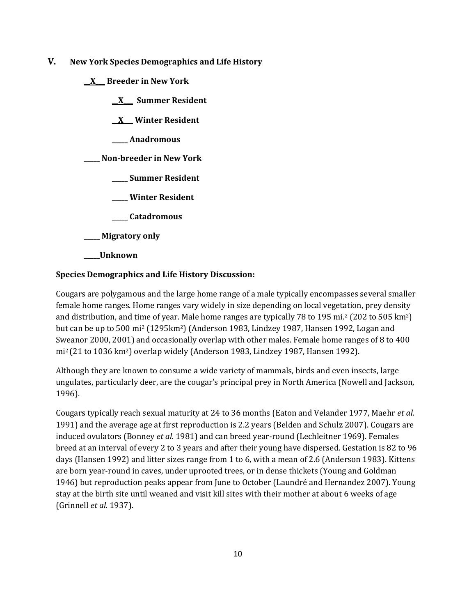- **V. New York Species Demographics and Life History**
	- **\_\_X\_\_\_ Breeder in New York**
		- **\_\_X\_\_\_ Summer Resident**

**\_\_X**\_\_\_ **Winter Resident**

**\_\_\_\_\_ Anadromous**

**\_\_\_\_\_ Non-breeder in New York**

- **\_\_\_\_\_ Summer Resident**
- **\_\_\_\_\_ Winter Resident**
- **\_\_\_\_\_ Catadromous**
- **\_\_\_\_\_ Migratory only**
- **\_\_\_\_\_Unknown**

## **Species Demographics and Life History Discussion:**

Cougars are polygamous and the large home range of a male typically encompasses several smaller female home ranges. Home ranges vary widely in size depending on local vegetation, prey density and distribution, and time of year. Male home ranges are typically 78 to 195 mi.<sup>2</sup> (202 to 505 km2) but can be up to 500 mi<sup>2</sup> (1295km2) (Anderson 1983, Lindzey 1987, Hansen 1992, Logan and Sweanor 2000, 2001) and occasionally overlap with other males. Female home ranges of 8 to 400 mi2 (21 to 1036 km2) overlap widely (Anderson 1983, Lindzey 1987, Hansen 1992).

Although they are known to consume a wide variety of mammals, birds and even insects, large ungulates, particularly deer, are the cougar's principal prey in North America (Nowell and Jackson, 1996).

Cougars typically reach sexual maturity at 24 to 36 months (Eaton and Velander 1977, Maehr *et al.* 1991) and the average age at first reproduction is 2.2 years (Belden and Schulz 2007). Cougars are induced ovulators (Bonney *et al.* 1981) and can breed year-round (Lechleitner 1969). Females breed at an interval of every 2 to 3 years and after their young have dispersed. Gestation is 82 to 96 days (Hansen 1992) and litter sizes range from 1 to 6, with a mean of 2.6 (Anderson 1983). Kittens are born year-round in caves, under uprooted trees, or in dense thickets (Young and Goldman 1946) but reproduction peaks appear from June to October (Laundré and Hernandez 2007). Young stay at the birth site until weaned and visit kill sites with their mother at about 6 weeks of age (Grinnell *et al.* 1937).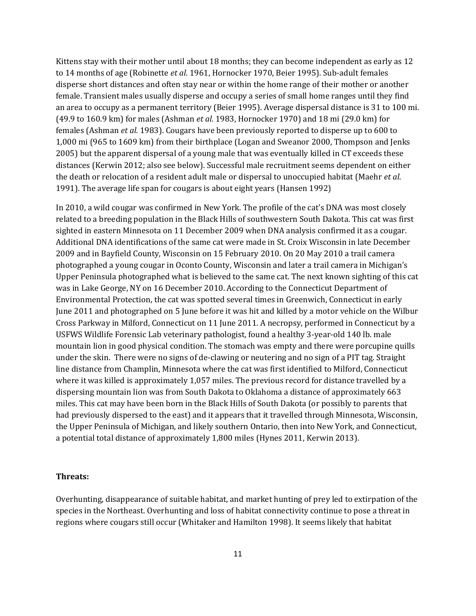Kittens stay with their mother until about 18 months; they can become independent as early as 12 to 14 months of age (Robinette *et al.* 1961, Hornocker 1970, Beier 1995). Sub-adult females disperse short distances and often stay near or within the home range of their mother or another female. Transient males usually disperse and occupy a series of small home ranges until they find an area to occupy as a permanent territory (Beier 1995). Average dispersal distance is 31 to 100 mi. (49.9 to 160.9 km) for males (Ashman *et al.* 1983, Hornocker 1970) and 18 mi (29.0 km) for females (Ashman *et al.* 1983). Cougars have been previously reported to disperse up to 600 to 1,000 mi (965 to 1609 km) from their birthplace (Logan and Sweanor 2000, Thompson and Jenks 2005) but the apparent dispersal of a young male that was eventually killed in CT exceeds these distances (Kerwin 2012; also see below). Successful male recruitment seems dependent on either the death or relocation of a resident adult male or dispersal to unoccupied habitat (Maehr *et al.* 1991). The average life span for cougars is about eight years (Hansen 1992)

In 2010, a wild cougar was confirmed in New York. The profile of the cat's DNA was most closely related to a breeding population in the Black Hills of southwestern South Dakota. This cat was first sighted in eastern Minnesota on 11 December 2009 when DNA analysis confirmed it as a cougar. Additional DNA identifications of the same cat were made in St. Croix Wisconsin in late December 2009 and in Bayfield County, Wisconsin on 15 February 2010. On 20 May 2010 a trail camera photographed a young cougar in Oconto County, Wisconsin and later a trail camera in Michigan's Upper Peninsula photographed what is believed to the same cat. The next known sighting of this cat was in Lake George, NY on 16 December 2010. According to the Connecticut Department of Environmental Protection, the cat was spotted several times in Greenwich, Connecticut in early June 2011 and photographed on 5 June before it was hit and killed by a motor vehicle on the Wilbur Cross Parkway in Milford, Connecticut on 11 June 2011. A necropsy, performed in Connecticut by a USFWS Wildlife Forensic Lab veterinary pathologist, found a healthy 3-year-old 140 lb. male mountain lion in good physical condition. The stomach was empty and there were porcupine quills under the skin. There were no signs of de-clawing or neutering and no sign of a PIT tag. Straight line distance from Champlin, Minnesota where the cat was first identified to Milford, Connecticut where it was killed is approximately 1,057 miles. The previous record for distance travelled by a dispersing mountain lion was from South Dakota to Oklahoma a distance of approximately 663 miles. This cat may have been born in the Black Hills of South Dakota (or possibly to parents that had previously dispersed to the east) and it appears that it travelled through Minnesota, Wisconsin, the Upper Peninsula of Michigan, and likely southern Ontario, then into New York, and Connecticut, a potential total distance of approximately 1,800 miles (Hynes 2011, Kerwin 2013).

#### **Threats:**

Overhunting, disappearance of suitable habitat, and market hunting of prey led to extirpation of the species in the Northeast. Overhunting and loss of habitat connectivity continue to pose a threat in regions where cougars still occur (Whitaker and Hamilton 1998). It seems likely that habitat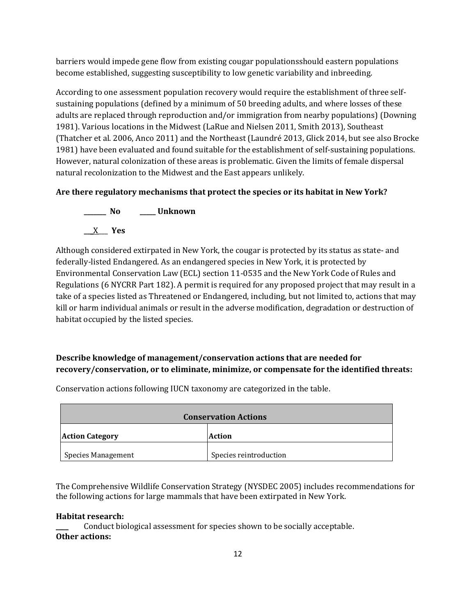barriers would impede gene flow from existing cougar populationsshould eastern populations become established, suggesting susceptibility to low genetic variability and inbreeding.

According to one assessment population recovery would require the establishment of three selfsustaining populations (defined by a minimum of 50 breeding adults, and where losses of these adults are replaced through reproduction and/or immigration from nearby populations) (Downing 1981). Various locations in the Midwest (LaRue and Nielsen 2011, Smith 2013), Southeast (Thatcher et al. 2006, Anco 2011) and the Northeast (Laundré 2013, Glick 2014, but see also Brocke 1981) have been evaluated and found suitable for the establishment of self-sustaining populations. However, natural colonization of these areas is problematic. Given the limits of female dispersal natural recolonization to the Midwest and the East appears unlikely.

# **Are there regulatory mechanisms that protect the species or its habitat in New York?**

**\_\_\_\_\_\_\_ No \_\_\_\_\_ Unknown \_\_\_**X\_\_\_ **Yes**

Although considered extirpated in New York, the cougar is protected by its status as state- and federally-listed Endangered. As an endangered species in New York, it is protected by Environmental Conservation Law (ECL) section 11-0535 and the New York Code of Rules and Regulations (6 NYCRR Part 182). A permit is required for any proposed project that may result in a take of a species listed as Threatened or Endangered, including, but not limited to, actions that may kill or harm individual animals or result in the adverse modification, degradation or destruction of habitat occupied by the listed species.

# **Describe knowledge of management/conservation actions that are needed for recovery/conservation, or to eliminate, minimize, or compensate for the identified threats:**

| <b>Conservation Actions</b> |                        |
|-----------------------------|------------------------|
| <b>Action Category</b>      | <b>Action</b>          |
| <b>Species Management</b>   | Species reintroduction |

Conservation actions following IUCN taxonomy are categorized in the table.

The Comprehensive Wildlife Conservation Strategy (NYSDEC 2005) includes recommendations for the following actions for large mammals that have been extirpated in New York.

## **Habitat research:**

Conduct biological assessment for species shown to be socially acceptable. **Other actions:**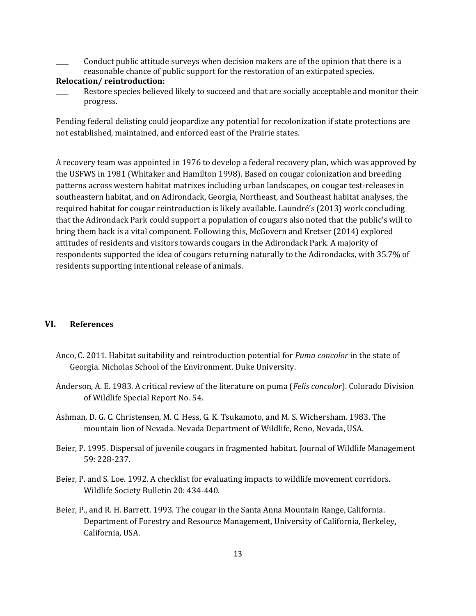\_\_\_\_ Conduct public attitude surveys when decision makers are of the opinion that there is a reasonable chance of public support for the restoration of an extirpated species.

## **Relocation/ reintroduction:**

Restore species believed likely to succeed and that are socially acceptable and monitor their progress.

Pending federal delisting could jeopardize any potential for recolonization if state protections are not established, maintained, and enforced east of the Prairie states.

A recovery team was appointed in 1976 to develop a federal recovery plan, which was approved by the USFWS in 1981 (Whitaker and Hamilton 1998). Based on cougar colonization and breeding patterns across western habitat matrixes including urban landscapes, on cougar test-releases in southeastern habitat, and on Adirondack, Georgia, Northeast, and Southeast habitat analyses, the required habitat for cougar reintroduction is likely available. Laundré's (2013) work concluding that the Adirondack Park could support a population of cougars also noted that the public's will to bring them back is a vital component. Following this, McGovern and Kretser (2014) explored attitudes of residents and visitors towards cougars in the Adirondack Park. A majority of respondents supported the idea of cougars returning naturally to the Adirondacks, with 35.7% of residents supporting intentional release of animals.

## **VI. References**

- Anco, C. 2011. Habitat suitability and reintroduction potential for *Puma concolor* in the state of Georgia. Nicholas School of the Environment. Duke University.
- Anderson, A. E. 1983. A critical review of the literature on puma (*Felis concolor*). Colorado Division of Wildlife Special Report No. 54.
- Ashman, D. G. C. Christensen, M. C. Hess, G. K. Tsukamoto, and M. S. Wichersham. 1983. The mountain lion of Nevada. Nevada Department of Wildlife, Reno, Nevada, USA.
- Beier, P. 1995. Dispersal of juvenile cougars in fragmented habitat. Journal of Wildlife Management 59: 228-237.
- Beier, P. and S. Loe. 1992. A checklist for evaluating impacts to wildlife movement corridors. Wildlife Society Bulletin 20: 434-440.
- Beier, P., and R. H. Barrett. 1993. The cougar in the Santa Anna Mountain Range, California. Department of Forestry and Resource Management, University of California, Berkeley, California, USA.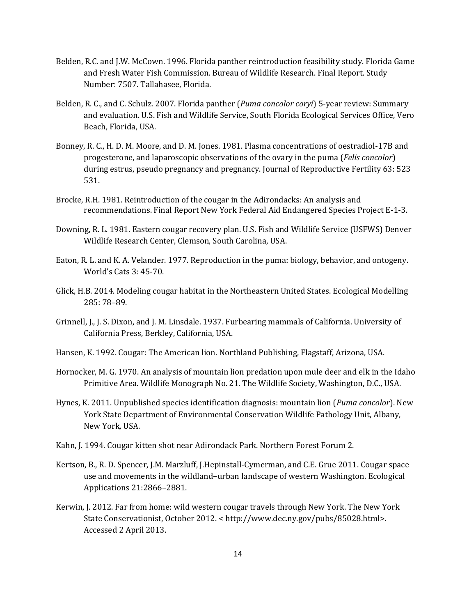- Belden, R.C. and J.W. McCown. 1996. Florida panther reintroduction feasibility study. Florida Game and Fresh Water Fish Commission. Bureau of Wildlife Research. Final Report. Study Number: 7507. Tallahasee, Florida.
- Belden, R. C., and C. Schulz. 2007. Florida panther (*Puma concolor coryi*) 5-year review: Summary and evaluation. U.S. Fish and Wildlife Service, South Florida Ecological Services Office, Vero Beach, Florida, USA.
- Bonney, R. C., H. D. M. Moore, and D. M. Jones. 1981. Plasma concentrations of oestradiol-17B and progesterone, and laparoscopic observations of the ovary in the puma (*Felis concolor*) during estrus, pseudo pregnancy and pregnancy. Journal of Reproductive Fertility 63: 523 531.
- Brocke, R.H. 1981. Reintroduction of the cougar in the Adirondacks: An analysis and recommendations. Final Report New York Federal Aid Endangered Species Project E-1-3.
- Downing, R. L. 1981. Eastern cougar recovery plan. U.S. Fish and Wildlife Service (USFWS) Denver Wildlife Research Center, Clemson, South Carolina, USA.
- Eaton, R. L. and K. A. Velander. 1977. Reproduction in the puma: biology, behavior, and ontogeny. World's Cats 3: 45-70.
- Glick, H.B. 2014. Modeling cougar habitat in the Northeastern United States. Ecological Modelling 285: 78–89.
- Grinnell, J., J. S. Dixon, and J. M. Linsdale. 1937. Furbearing mammals of California. University of California Press, Berkley, California, USA.
- Hansen, K. 1992. Cougar: The American lion. Northland Publishing, Flagstaff, Arizona, USA.
- Hornocker, M. G. 1970. An analysis of mountain lion predation upon mule deer and elk in the Idaho Primitive Area. Wildlife Monograph No. 21. The Wildlife Society, Washington, D.C., USA.
- Hynes, K. 2011. Unpublished species identification diagnosis: mountain lion (*Puma concolor*). New York State Department of Environmental Conservation Wildlife Pathology Unit, Albany, New York, USA.
- Kahn, J. 1994. Cougar kitten shot near Adirondack Park. Northern Forest Forum 2.
- Kertson, B., R. D. Spencer, J.M. Marzluff, J.Hepinstall-Cymerman, and C.E. Grue 2011. Cougar space use and movements in the wildland–urban landscape of western Washington. Ecological Applications 21:2866–2881.
- Kerwin, J. 2012. Far from home: wild western cougar travels through New York. The New York State Conservationist, October 2012. < http://www.dec.ny.gov/pubs/85028.html>. Accessed 2 April 2013.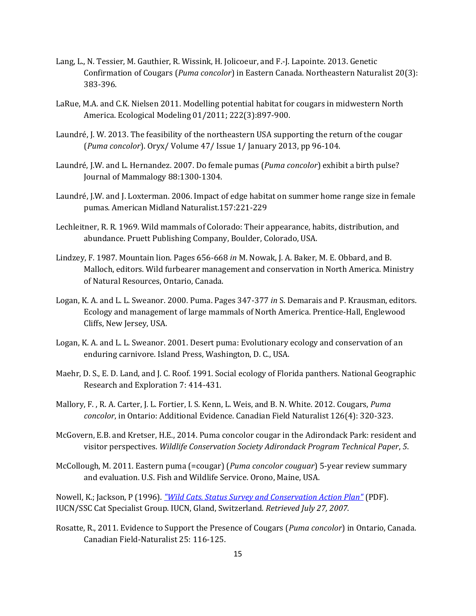- Lang, L., N. Tessier, M. Gauthier, R. Wissink, H. Jolicoeur, and F.-J. Lapointe. 2013. Genetic Confirmation of Cougars (*Puma concolor*) in Eastern Canada. Northeastern Naturalist 20(3): 383-396.
- LaRue, M.A. and C.K. Nielsen 2011. Modelling potential habitat for cougars in midwestern North America. Ecological Modeling 01/2011; 222(3):897-900.
- Laundré, J. W. 2013. The feasibility of the northeastern USA supporting the return of the cougar (*Puma concolor*). Oryx/ Volume 47/ Issue 1/ January 2013, pp 96-104.
- Laundré, J.W. and L. Hernandez. 2007. Do female pumas (*Puma concolor*) exhibit a birth pulse? Journal of Mammalogy 88:1300-1304.
- Laundré, J.W. and J. Loxterman. 2006. Impact of edge habitat on summer home range size in female pumas. American Midland Naturalist.157:221-229
- Lechleitner, R. R. 1969. Wild mammals of Colorado: Their appearance, habits, distribution, and abundance. Pruett Publishing Company, Boulder, Colorado, USA.
- Lindzey, F. 1987. Mountain lion. Pages 656-668 *in* M. Nowak, J. A. Baker, M. E. Obbard, and B. Malloch, editors. Wild furbearer management and conservation in North America. Ministry of Natural Resources, Ontario, Canada.
- Logan, K. A. and L. L. Sweanor. 2000. Puma. Pages 347-377 *in* S. Demarais and P. Krausman, editors. Ecology and management of large mammals of North America. Prentice-Hall, Englewood Cliffs, New Jersey, USA.
- Logan, K. A. and L. L. Sweanor. 2001. Desert puma: Evolutionary ecology and conservation of an enduring carnivore. Island Press, Washington, D. C., USA.
- Maehr, D. S., E. D. Land, and J. C. Roof. 1991. Social ecology of Florida panthers. National Geographic Research and Exploration 7: 414-431.
- Mallory, F. , R. A. Carter, J. L. Fortier, I. S. Kenn, L. Weis, and B. N. White. 2012. Cougars, *Puma concolor*, in Ontario: Additional Evidence. Canadian Field Naturalist 126(4): 320-323.
- McGovern, E.B. and Kretser, H.E., 2014. Puma concolor cougar in the Adirondack Park: resident and visitor perspectives. *Wildlife Conservation Society Adirondack Program Technical Paper*, *5*.
- McCollough, M. 2011. Eastern puma (=cougar) (*Puma concolor couguar*) 5-year review summary and evaluation. U.S. Fish and Wildlife Service. Orono, Maine, USA.

Nowell, K.; Jackson, P (1996). *["Wild Cats. Status Survey and Conservation Action Plan"](http://carnivoractionplans1.free.fr/wildcats.pdf)* (PDF). IUCN/SSC Cat Specialist Group. IUCN, Gland, Switzerland*. Retrieved July 27, 2007*.

Rosatte, R., 2011. Evidence to Support the Presence of Cougars (*Puma concolor*) in Ontario, Canada. Canadian Field-Naturalist 25: 116-125.